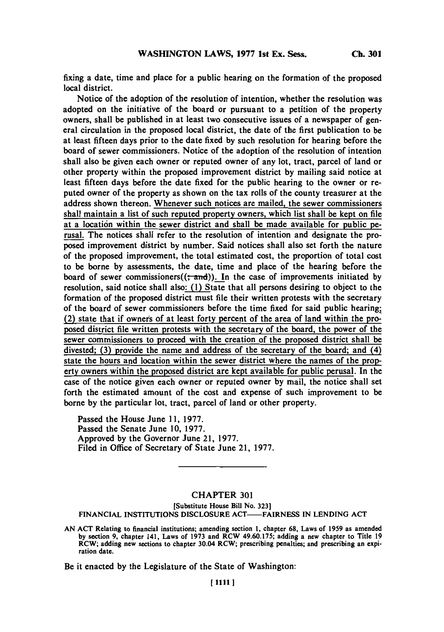**Ch. 301**

fixing a date, time and place for a public hearing on the formation of the proposed local district.

Notice of the adoption of the resolution of intention, whether the resolution was adopted on the initiative of the board or pursuant to a petition of the property owners, shall be published in at least two consecutive issues of a newspaper of general circulation in the proposed local district, the date of the first publication to be at least fifteen days prior to the date fixed **by** such resolution for hearing before the board of sewer commissioners. Notice of the adoption of the resolution of intention shall also be given each owner or reputed owner of any lot, tract, parcel of land or other property within the proposed improvement district **by** mailing said notice at least fifteen days before the date fixed for the public hearing to the owner or reputed owner of the property as shown on the tax rolls of the county treasurer at the address shown thereon. Whenever such notices are mailed, the sewer commissioners shall maintain a list of such reputed property owners, which list shall be kept on file at a location within the sewer district and shall be made available for public perusal. The notices shall refer to the resolution of intention and designate the proposed improvement district **by** number. Said notices shall also set forth the nature of the proposed improvement, the total estimated cost, the proportion of total cost to be borne **by** assessments, the date, time and place of the hearing before the board of sewer commissioners $((\div \text{and}))$ . In the case of improvements initiated by resolution, said notice shall also: (1) State that all persons desiring to object to the formation of the proposed district must file their written protests with the secretary of the board of sewer commissioners before the time fixed for said public hearing; (2) state that if owners of at least forty percent of the area of land within the proposed district file written protests with the secretary of the board, the power of the sewer commissioners to proceed with the creation of the proposed district shall be divested; **(3)** provide the name and address of the secretary of the board; and (4) state the hours and location within the sewer district where the names of the property owners within the proposed district are kept available for public perusal. In the case of the notice given each owner or reputed owner **by** mail, the notice shall set forth the estimated amount of the cost and expense of such improvement to be borne **by** the particular lot, tract, parcel of land or other property.

Passed the House June **11, 1977.** Passed the Senate June **10, 1977.** Approved **by** the Governor June 21, **1977.** Filed in Office of Secretary of State June 21, **1977.**

## CHAPTER **301**

**[Substitute House Bill No. 323]**

**FINANCIAL INSTITUTIONS DISCLOSURE ACT-FAIRNESS IN LENDING ACT**

**AN ACT Relating to financial institutions; amending section 1, chapter 68, Laws of 1959 as amended by section 9, chapter 141, Laws of 1973 and RCW 49.60.175; adding a new chapter to Title 19 RCW; adding new sections to chapter 30.04 RCW; prescribing penalties; and prescribing an expiration date.**

Be it enacted **by** the Legislature of the State of Washington:

**[11111**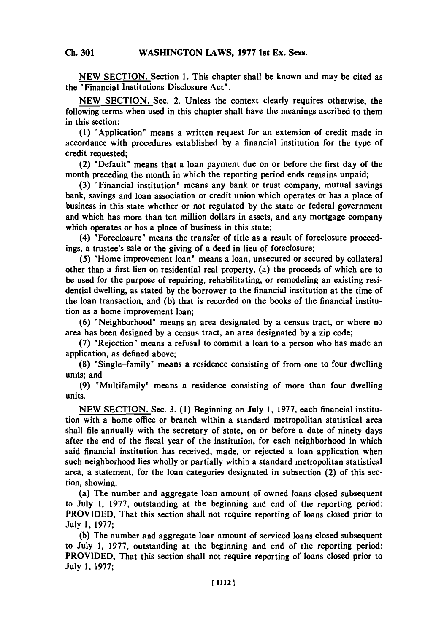**NEW SECTION.** Section **1.** This chapter shall be known and may be cited as the "Financial Institutions Disclosure Act".

**NEW SECTION.** Sec. 2. Unless the context clearly requires otherwise, the following terms when used in this chapter shall have the meanings ascribed to them in this section:

**(1)** "Application" means a written request for an extension of credit made in accordance with procedures established **by** a financial institution for the type of credit requested;

(2) "Default" means that a loan payment due on or before the first day of the month preceding the month in which the reporting period ends remains unpaid;

**(3)** "Financial institution" means any bank or trust company, mutual savings bank, savings and loan association or credit union which operates or has a place of business in this state whether or not regulated **by** the state or federal government and which has more than ten million dollars in assets, and any mortgage company which operates or has a place of business in this state;

(4) "Foreclosure" means the transfer of title as a result of foreclosure proceedings, a trustee's sale or the giving of a deed in lieu of foreclosure;

**(5)** "Home improvement loan" means a loan, unsecured or secured **by** collateral other than a first lien on residential real property, (a) the proceeds of which are to be used for the purpose of repairing, rehabilitating, or remodeling an existing residential dwelling, as stated **by** the borrower to the financial institution at the time of the loan transaction, and **(b)** that is recorded on the books of the financial institution as a home improvement loan;

**(6)** "Neighborhood" means an area designated **by** a census tract, or where no area has been designed **by** a census tract, an area designated **by** a zip code;

**(7)** "Rejection" means a refusal to commit a loan to a person who has made an application, as defined above;

**(8)** "Single-family" means a residence consisting of from one to four dwelling units; and

**(9)** "Multifamily" means a residence consisting of more than four dwelling units.

**NEW** SECTION. Sec. **3. (1)** Beginning on July **1, 1977,** each financial institution with a home office or branch within a standard metropolitan statistical area shall file annually with the secretary of state, on or before a date of ninety days after the end of the fiscal year of the institution, for each neighborhood in which said financial institution has received, made, or rejected a loan application when such neighborhood lies wholly or partially within a standard metropolitan statistical area, a statement, for the loan categories designated in subsection (2) of this section, showing:

(a) The number and aggregate loan amount of owned loans closed subsequent to July **1, 1977,** outstanding at the beginning and end of the reporting period: PROVIDED, That this section shall not require reporting of loans closed prior to July **1, 1977;**

**(b)** The number and aggregate loan amount of serviced loans closed subsequent to July **1, 1977,** outstanding at the beginning and end of the reporting period: PROVIDED, That this section shall not require reporting of loans closed prior to July **1, 1977;**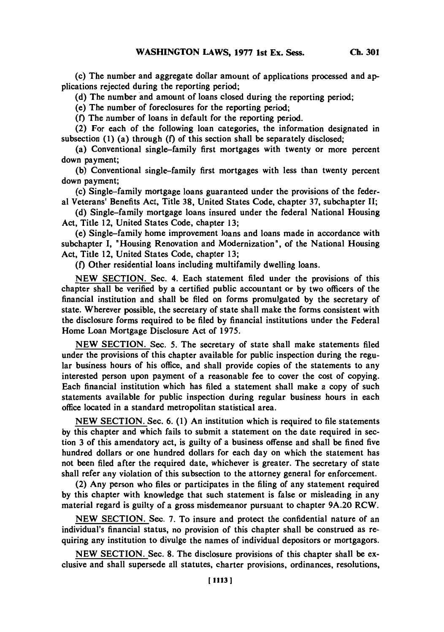(c) The number and aggregate dollar amount of applications processed and applications rejected during the reporting period;

**(d)** The number and amount of loans closed during the reporting period;

(e) The number of foreclosures for the reporting period;

**(f)** The number of loans in default for the reporting period.

(2) For each of the following loan categories, the information designated in subsection **(1) (a)** through **(f)** of this section shall be separately disclosed;

(a) Conventional single-family first mortgages with twenty or more percent down payment;

**(b)** Conventional single-family first mortgages with less than twenty percent down payment;

(c) Single-family mortgage loans guaranteed under the provisions of the federal Veterans' Benefits Act, Title **38,** United States Code, chapter **37,** subchapter II;

**(d)** Single-family mortgage loans insured under the federal National Housing Act, Title 12, United States Code, chapter **13;**

(e) Single-family home improvement loans and loans made in accordance with subchapter **I,** "Housing Renovation and Modernization", of the National Housing Act, Title 12, United States Code, chapter **13;**

**(f)** Other residential loans including multifamily dwelling loans.

**NEW** SECTION. Sec. 4. Each statement filed under the provisions of this chapter shall be verified **by** a certified public accountant or **by** two officers of the financial institution and shall be filed on forms promulgated **by** the secretary of state. Wherever possible, the secretary of state shall make the forms consistent with the disclosure forms required to be filed **by** financial institutions under the Federal Home Loan Mortgage Disclosure Act of *1975.*

**NEW** SECTION. Sec. *5.* The secretary of state shall make statements filed under the provisions of this chapter available for public inspection during the regular business hours of his office, and shall provide copies of the statements to any interested person upon payment of a reasonable fee to cover the cost of copying. Each financial institution which has filed a statement shall make a **copy** of such statements available for public inspection during regular business hours in each office located in a standard metropolitan statistical area.

**NEW SECTION.** Sec. **6. (1)** An institution which is required to file statements **by** this chapter and which fails to submit a statement on the date required in section **3** of this amendatory act, is guilty of a business offense and shall be fined five hundred dollars or one hundred dollars for each day on which the statement has not been filed after the required date, whichever is greater. The secretary of state shall refer any violation of this subsection to the attorney general for enforcement.

(2) Any person who files or participates in the filing of any statement required **by** this chapter with knowledge that such statement is false or misleading in any material regard is guilty of a gross misdemeanor pursuant to chapter **9A.20** RCW.

**NEW** SECTION. Sec. **7.** To insure and protect the confidential nature of an individual's financial status, no provision of this chapter shall be construed as requiring any institution to divulge the names of individual depositors or mortgagors.

**NEW SECTION.** Sec. **8.** The disclosure provisions of this chapter shall be exclusive and shall supersede all statutes, charter provisions, ordinances, resolutions,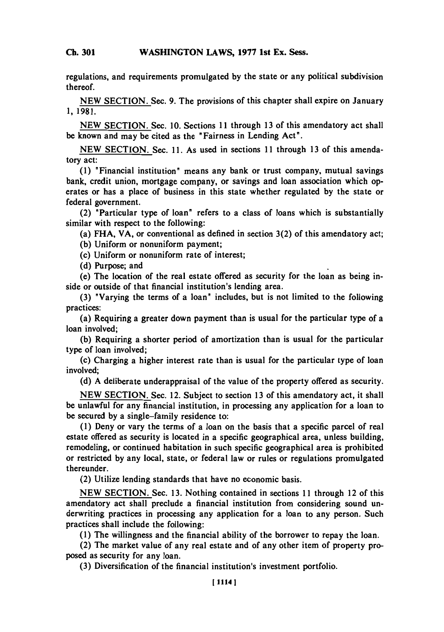## **Ch 301WASHINGTON LAWS, 1977 1st Ex. Sess. Ch. 301**

regulations, and requirements promulgated **by** the state or any political subdivision thereof.

**NEW** SECTION. Sec. **9.** The provisions of this chapter shall expire on January **1, 1981.**

**NEW SECTION.** Sec. **10.** Sections **11I** through **13** of this amendatory act shall be known and may be cited as the "Fairness in Lending Act".

**NEW** SECTION. Sec. **11.** As used in sections **11I** through **13** of this amendatory act:

**(1)** "Financial institution" means any bank or trust company, mutual savings bank, credit union, mortgage company, or savings and loan association which operates or has a place of business in this state whether regulated **by** the state or federal government.

(2) "Particular type of loan" refers to a class of loans which is substantially similar with respect to the following:

(a) **FHA,** VA, or conventional as defined in section **3(2)** of this amendatory act;

**(b)** Uniform or nonuniform payment;

(c) Uniform or nonuniform rate of interest;

**(d)** Purpose; and

(e) The location of the real estate offered as security for the loan as being inside or outside of that financial institution's lending area.

**(3)** "Varying the terms of a loan" includes, but is not limited to the following practices:

(a) Requiring a greater down payment than is usual for the particular type of a loan involved;

**(b)** Requiring a shorter period of amortization than is usual for the particular type of loan involved;

(c) Charging a higher interest rate than is usual for the particular type of loan involved;

**(d) A** deliberate underappraisal of the value of the property offered as security.

**NEW SECTION.** Sec. 12. Subject to section **13** of this amendatory act, it shall be unlawful for any financial institution, in processing any application for a loan to be secured **by** a single-family residence to:

**(1)** Deny or vary the terms of a loan on the basis that a specific parcel of real estate offered as security is located in a specific geographical area, unless building, remodeling, or continued habitation in such specific geographical area is prohibited or restricted **by** any local, state, or federal law or rules or regulations promulgated thereunder.

(2) Utilize lending standards that have no economic basis.

**NEW SECTION.** Sec. **13.** Nothing contained in sections **11I** through 12 of this amendatory act shall preclude a financial institution from considering sound underwriting practices in processing any application for a loan to any person. Such practices shall include the following:

**(1)** The willingness and the financial ability of the borrower to repay the loan.

(2) The market value of any real estate and of any other item of property proposed as security for any loan.

**(3)** Diversification of the financial institution's investment portfolio.